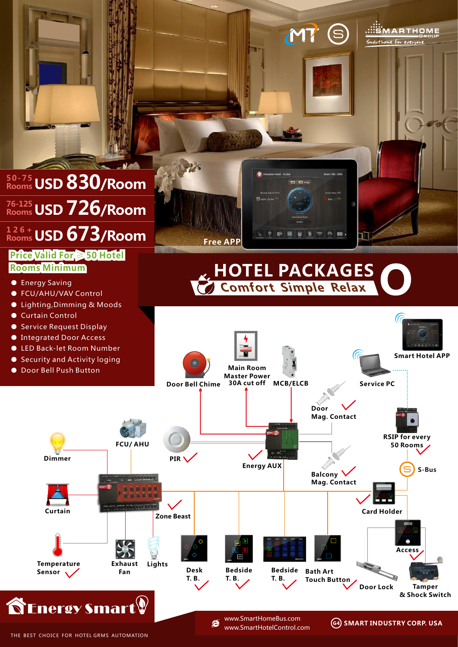

THE BEST CHOICE FOR HOTEL GRMS AUTOMATION

www.SmartHomeBus.com e www.SmartHotelControl.com

**SMART INDUSTRY CORP. USA**